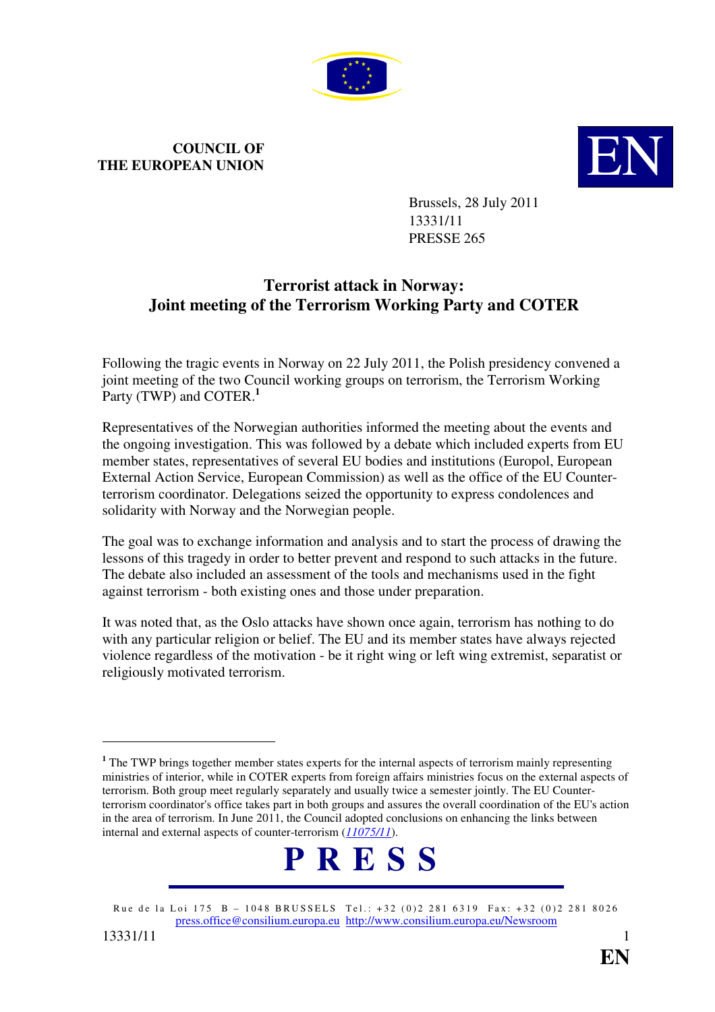

## **COUNCIL OF THE EUROPEAN UNION**



Brussels, 28 July 2011 13331/11 PRESSE 265

## **Terrorist attack in Norway: Joint meeting of the Terrorism Working Party and COTER**

Following the tragic events in Norway on 22 July 2011, the Polish presidency convened a joint meeting of the two Council working groups on terrorism, the Terrorism Working Party (TWP) and COTER.**<sup>1</sup>**

Representatives of the Norwegian authorities informed the meeting about the events and the ongoing investigation. This was followed by a debate which included experts from EU member states, representatives of several EU bodies and institutions (Europol, European External Action Service, European Commission) as well as the office of the EU Counterterrorism coordinator. Delegations seized the opportunity to express condolences and solidarity with Norway and the Norwegian people.

The goal was to exchange information and analysis and to start the process of drawing the lessons of this tragedy in order to better prevent and respond to such attacks in the future. The debate also included an assessment of the tools and mechanisms used in the fight against terrorism - both existing ones and those under preparation.

It was noted that, as the Oslo attacks have shown once again, terrorism has nothing to do with any particular religion or belief. The EU and its member states have always rejected violence regardless of the motivation - be it right wing or left wing extremist, separatist or religiously motivated terrorism.

<sup>&</sup>lt;sup>1</sup> The TWP brings together member states experts for the internal aspects of terrorism mainly representing ministries of interior, while in COTER experts from foreign affairs ministries focus on the external aspects of terrorism. Both group meet regularly separately and usually twice a semester jointly. The EU Counterterrorism coordinator's office takes part in both groups and assures the overall coordination of the EU's action in the area of terrorism. In June 2011, the Council adopted conclusions on enhancing the links between internal and external aspects of counter-terrorism (*[11075/11](http://register.consilium.europa.eu/pdf/en/11/st11/st11075.en11.pdf)*).



Rue de la Loi 175 B – 1048 BRUSSELS Tel.: +32 (0)2 281 6319 Fax: +32 (0)2 281 8026 press.office@consilium.europa.eu http://www.consilium.europa.eu/Newsroom

 $\overline{a}$